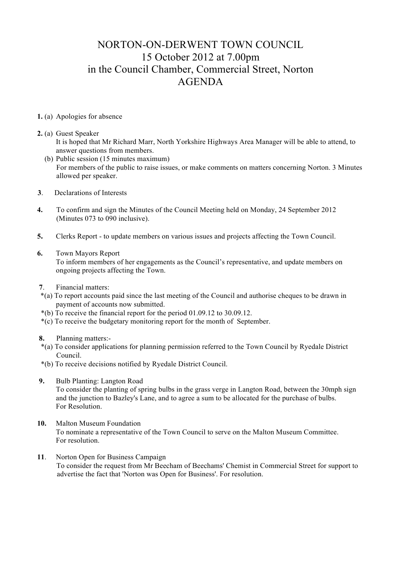# NORTON-ON-DERWENT TOWN COUNCIL 15 October 2012 at 7.00pm in the Council Chamber, Commercial Street, Norton AGENDA

#### **1.** (a) Apologies for absence

#### **2.** (a) Guest Speaker

- It is hoped that Mr Richard Marr, North Yorkshire Highways Area Manager will be able to attend, to answer questions from members.
- (b) Public session (15 minutes maximum) For members of the public to raise issues, or make comments on matters concerning Norton. 3 Minutes allowed per speaker.
- **3**. Declarations of Interests
- **4.** To confirm and sign the Minutes of the Council Meeting held on Monday, 24 September 2012 (Minutes 073 to 090 inclusive).
- **5.** Clerks Report to update members on various issues and projects affecting the Town Council.

### **6.** Town Mayors Report

 To inform members of her engagements as the Council's representative, and update members on ongoing projects affecting the Town.

- **7**. Financial matters:
- \*(a) To report accounts paid since the last meeting of the Council and authorise cheques to be drawn in payment of accounts now submitted.
- \*(b) To receive the financial report for the period 01.09.12 to 30.09.12.
- \*(c) To receive the budgetary monitoring report for the month of September.

## **8.** Planning matters:-

- \*(a) To consider applications for planning permission referred to the Town Council by Ryedale District Council.
- \*(b) To receive decisions notified by Ryedale District Council.
- **9.** Bulb Planting: Langton Road To consider the planting of spring bulbs in the grass verge in Langton Road, between the 30mph sign and the junction to Bazley's Lane, and to agree a sum to be allocated for the purchase of bulbs. For Resolution.
- **10.** Malton Museum Foundation To nominate a representative of the Town Council to serve on the Malton Museum Committee. For resolution.
- **11**. Norton Open for Business Campaign To consider the request from Mr Beecham of Beechams' Chemist in Commercial Street for support to advertise the fact that 'Norton was Open for Business'. For resolution.